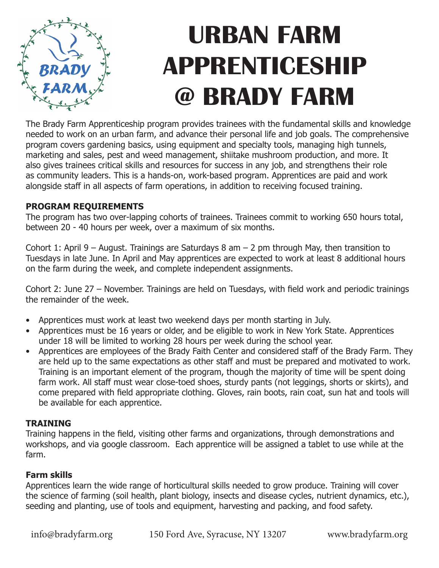

# **URBAN FARM APPRENTICESHIP @ BRADY FARM**

The Brady Farm Apprenticeship program provides trainees with the fundamental skills and knowledge needed to work on an urban farm, and advance their personal life and job goals. The comprehensive program covers gardening basics, using equipment and specialty tools, managing high tunnels, marketing and sales, pest and weed management, shiitake mushroom production, and more. It also gives trainees critical skills and resources for success in any job, and strengthens their role as community leaders. This is a hands-on, work-based program. Apprentices are paid and work alongside staff in all aspects of farm operations, in addition to receiving focused training.

### **PROGRAM REQUIREMENTS**

The program has two over-lapping cohorts of trainees. Trainees commit to working 650 hours total, between 20 - 40 hours per week, over a maximum of six months.

Cohort 1: April 9 – August. Trainings are Saturdays 8 am – 2 pm through May, then transition to Tuesdays in late June. In April and May apprentices are expected to work at least 8 additional hours on the farm during the week, and complete independent assignments.

Cohort 2: June 27 – November. Trainings are held on Tuesdays, with field work and periodic trainings the remainder of the week.

- Apprentices must work at least two weekend days per month starting in July.
- Apprentices must be 16 years or older, and be eligible to work in New York State. Apprentices under 18 will be limited to working 28 hours per week during the school year.
- Apprentices are employees of the Brady Faith Center and considered staff of the Brady Farm. They are held up to the same expectations as other staff and must be prepared and motivated to work. Training is an important element of the program, though the majority of time will be spent doing farm work. All staff must wear close-toed shoes, sturdy pants (not leggings, shorts or skirts), and come prepared with field appropriate clothing. Gloves, rain boots, rain coat, sun hat and tools will be available for each apprentice.

## **TRAINING**

Training happens in the field, visiting other farms and organizations, through demonstrations and workshops, and via google classroom. Each apprentice will be assigned a tablet to use while at the farm.

## **Farm skills**

Apprentices learn the wide range of horticultural skills needed to grow produce. Training will cover the science of farming (soil health, plant biology, insects and disease cycles, nutrient dynamics, etc.), seeding and planting, use of tools and equipment, harvesting and packing, and food safety.